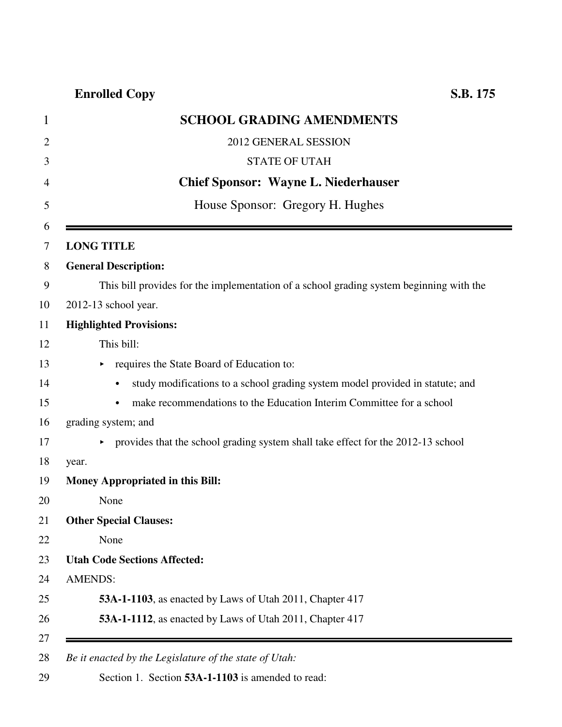## **Enrolled Copy S.B. 175**

| 1      | <b>SCHOOL GRADING AMENDMENTS</b>                                                        |
|--------|-----------------------------------------------------------------------------------------|
| 2      | 2012 GENERAL SESSION                                                                    |
| 3      | <b>STATE OF UTAH</b>                                                                    |
| 4      | <b>Chief Sponsor: Wayne L. Niederhauser</b>                                             |
| 5      | House Sponsor: Gregory H. Hughes                                                        |
| 6<br>7 | <b>LONG TITLE</b>                                                                       |
| 8      | <b>General Description:</b>                                                             |
| 9      | This bill provides for the implementation of a school grading system beginning with the |
| 10     | 2012-13 school year.                                                                    |
| 11     | <b>Highlighted Provisions:</b>                                                          |
| 12     | This bill:                                                                              |
| 13     | requires the State Board of Education to:                                               |
| 14     | study modifications to a school grading system model provided in statute; and           |
| 15     | make recommendations to the Education Interim Committee for a school                    |
| 16     | grading system; and                                                                     |
| 17     | provides that the school grading system shall take effect for the 2012-13 school<br>Þ.  |
| 18     | year.                                                                                   |
| 19     | Money Appropriated in this Bill:                                                        |
| 20     | None                                                                                    |
| 21     | <b>Other Special Clauses:</b>                                                           |
| 22     | None                                                                                    |
| 23     | <b>Utah Code Sections Affected:</b>                                                     |
| 24     | <b>AMENDS:</b>                                                                          |
| 25     | 53A-1-1103, as enacted by Laws of Utah 2011, Chapter 417                                |
| 26     | 53A-1-1112, as enacted by Laws of Utah 2011, Chapter 417                                |
| 27     |                                                                                         |
| 28     | Be it enacted by the Legislature of the state of Utah:                                  |

29 Section 1. Section **53A-1-1103** is amended to read: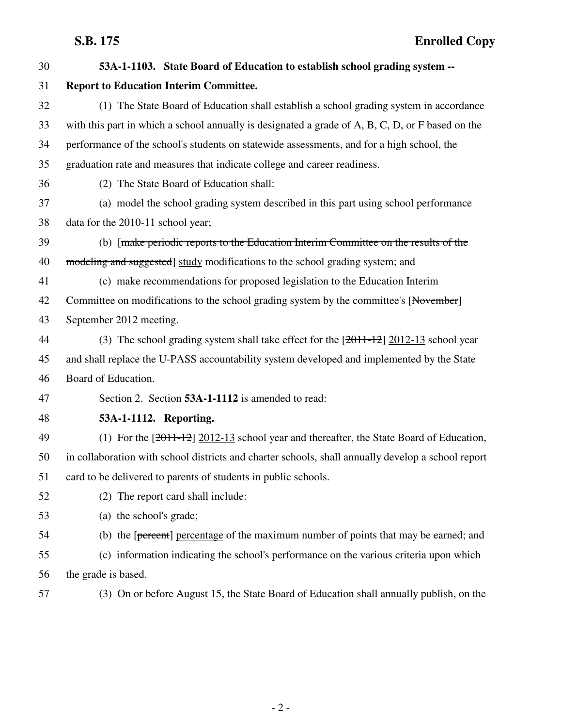| 30 | 53A-1-1103. State Board of Education to establish school grading system --                         |
|----|----------------------------------------------------------------------------------------------------|
| 31 | <b>Report to Education Interim Committee.</b>                                                      |
| 32 | (1) The State Board of Education shall establish a school grading system in accordance             |
| 33 | with this part in which a school annually is designated a grade of A, B, C, D, or F based on the   |
| 34 | performance of the school's students on statewide assessments, and for a high school, the          |
| 35 | graduation rate and measures that indicate college and career readiness.                           |
| 36 | (2) The State Board of Education shall:                                                            |
| 37 | (a) model the school grading system described in this part using school performance                |
| 38 | data for the 2010-11 school year;                                                                  |
| 39 | (b) [make periodic reports to the Education Interim Committee on the results of the                |
| 40 | modeling and suggested] study modifications to the school grading system; and                      |
| 41 | (c) make recommendations for proposed legislation to the Education Interim                         |
| 42 | Committee on modifications to the school grading system by the committee's [November]              |
| 43 | September 2012 meeting.                                                                            |
| 44 | (3) The school grading system shall take effect for the $[2011-12]$ 2012-13 school year            |
| 45 | and shall replace the U-PASS accountability system developed and implemented by the State          |
| 46 | Board of Education.                                                                                |
| 47 | Section 2. Section 53A-1-1112 is amended to read:                                                  |
| 48 | 53A-1-1112. Reporting.                                                                             |
| 49 | (1) For the $[2011-12]$ 2012-13 school year and thereafter, the State Board of Education,          |
| 50 | in collaboration with school districts and charter schools, shall annually develop a school report |
| 51 | card to be delivered to parents of students in public schools.                                     |
| 52 | (2) The report card shall include:                                                                 |
| 53 | (a) the school's grade;                                                                            |
| 54 | (b) the [percent] percentage of the maximum number of points that may be earned; and               |
| 55 | (c) information indicating the school's performance on the various criteria upon which             |
| 56 | the grade is based.                                                                                |
| 57 | (3) On or before August 15, the State Board of Education shall annually publish, on the            |